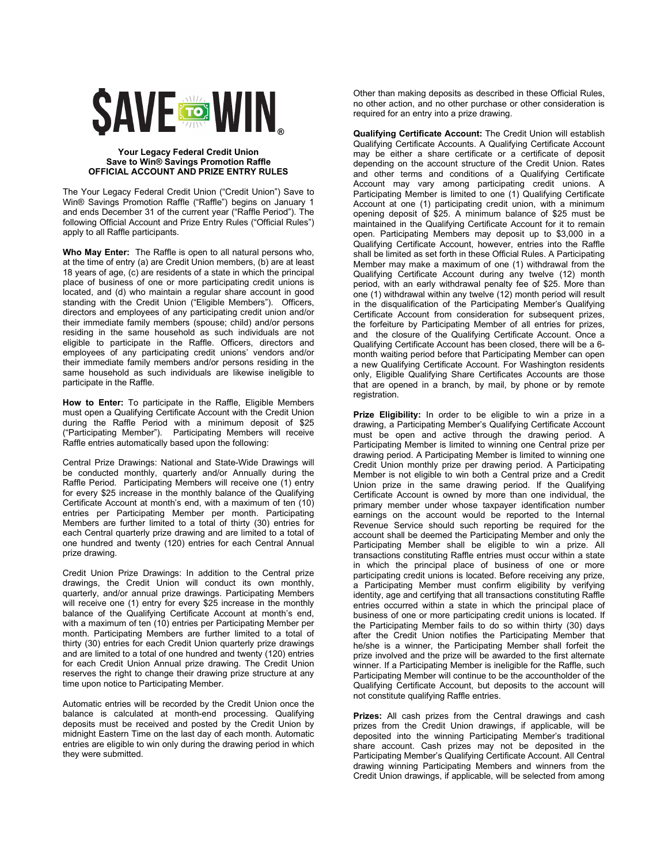

## **Your Legacy Federal Credit Union Save to Win® Savings Promotion Raffle OFFICIAL ACCOUNT AND PRIZE ENTRY RULES**

The Your Legacy Federal Credit Union ("Credit Union") Save to Win® Savings Promotion Raffle ("Raffle") begins on January 1 and ends December 31 of the current year ("Raffle Period"). The following Official Account and Prize Entry Rules ("Official Rules") apply to all Raffle participants.

**Who May Enter:** The Raffle is open to all natural persons who, at the time of entry (a) are Credit Union members, (b) are at least 18 years of age, (c) are residents of a state in which the principal place of business of one or more participating credit unions is located, and (d) who maintain a regular share account in good standing with the Credit Union ("Eligible Members"). Officers, directors and employees of any participating credit union and/or their immediate family members (spouse; child) and/or persons residing in the same household as such individuals are not eligible to participate in the Raffle. Officers, directors and employees of any participating credit unions' vendors and/or their immediate family members and/or persons residing in the same household as such individuals are likewise ineligible to participate in the Raffle.

**How to Enter:** To participate in the Raffle, Eligible Members must open a Qualifying Certificate Account with the Credit Union during the Raffle Period with a minimum deposit of \$25 ("Participating Member"). Participating Members will receive Raffle entries automatically based upon the following:

Central Prize Drawings: National and State-Wide Drawings will be conducted monthly, quarterly and/or Annually during the Raffle Period. Participating Members will receive one (1) entry for every \$25 increase in the monthly balance of the Qualifying Certificate Account at month's end, with a maximum of ten (10) entries per Participating Member per month. Participating Members are further limited to a total of thirty (30) entries for each Central quarterly prize drawing and are limited to a total of one hundred and twenty (120) entries for each Central Annual prize drawing.

Credit Union Prize Drawings: In addition to the Central prize drawings, the Credit Union will conduct its own monthly, quarterly, and/or annual prize drawings. Participating Members will receive one (1) entry for every \$25 increase in the monthly balance of the Qualifying Certificate Account at month's end, with a maximum of ten (10) entries per Participating Member per month. Participating Members are further limited to a total of thirty (30) entries for each Credit Union quarterly prize drawings and are limited to a total of one hundred and twenty (120) entries for each Credit Union Annual prize drawing. The Credit Union reserves the right to change their drawing prize structure at any time upon notice to Participating Member.

Automatic entries will be recorded by the Credit Union once the balance is calculated at month-end processing. Qualifying deposits must be received and posted by the Credit Union by midnight Eastern Time on the last day of each month. Automatic entries are eligible to win only during the drawing period in which they were submitted.

Other than making deposits as described in these Official Rules, no other action, and no other purchase or other consideration is required for an entry into a prize drawing.

**Qualifying Certificate Account:** The Credit Union will establish Qualifying Certificate Accounts. A Qualifying Certificate Account may be either a share certificate or a certificate of deposit depending on the account structure of the Credit Union. Rates and other terms and conditions of a Qualifying Certificate Account may vary among participating credit unions. A Participating Member is limited to one (1) Qualifying Certificate Account at one (1) participating credit union, with a minimum opening deposit of \$25. A minimum balance of \$25 must be maintained in the Qualifying Certificate Account for it to remain open. Participating Members may deposit up to \$3,000 in a Qualifying Certificate Account, however, entries into the Raffle shall be limited as set forth in these Official Rules. A Participating Member may make a maximum of one (1) withdrawal from the Qualifying Certificate Account during any twelve (12) month period, with an early withdrawal penalty fee of \$25. More than one (1) withdrawal within any twelve (12) month period will result in the disqualification of the Participating Member's Qualifying Certificate Account from consideration for subsequent prizes. the forfeiture by Participating Member of all entries for prizes, and the closure of the Qualifying Certificate Account. Once a Qualifying Certificate Account has been closed, there will be a 6 month waiting period before that Participating Member can open a new Qualifying Certificate Account. For Washington residents only, Eligible Qualifying Share Certificates Accounts are those that are opened in a branch, by mail, by phone or by remote registration.

**Prize Eligibility:** In order to be eligible to win a prize in a drawing, a Participating Member's Qualifying Certificate Account must be open and active through the drawing period. A Participating Member is limited to winning one Central prize per drawing period. A Participating Member is limited to winning one Credit Union monthly prize per drawing period. A Participating Member is not eligible to win both a Central prize and a Credit Union prize in the same drawing period. If the Qualifying Certificate Account is owned by more than one individual, the primary member under whose taxpayer identification number earnings on the account would be reported to the Internal Revenue Service should such reporting be required for the account shall be deemed the Participating Member and only the Participating Member shall be eligible to win a prize. All transactions constituting Raffle entries must occur within a state in which the principal place of business of one or more participating credit unions is located. Before receiving any prize, a Participating Member must confirm eligibility by verifying identity, age and certifying that all transactions constituting Raffle entries occurred within a state in which the principal place of business of one or more participating credit unions is located. If the Participating Member fails to do so within thirty (30) days after the Credit Union notifies the Participating Member that he/she is a winner, the Participating Member shall forfeit the prize involved and the prize will be awarded to the first alternate winner. If a Participating Member is ineligible for the Raffle, such Participating Member will continue to be the accountholder of the Qualifying Certificate Account, but deposits to the account will not constitute qualifying Raffle entries.

**Prizes:** All cash prizes from the Central drawings and cash prizes from the Credit Union drawings, if applicable, will be deposited into the winning Participating Member's traditional share account. Cash prizes may not be deposited in the Participating Member's Qualifying Certificate Account. All Central drawing winning Participating Members and winners from the Credit Union drawings, if applicable, will be selected from among